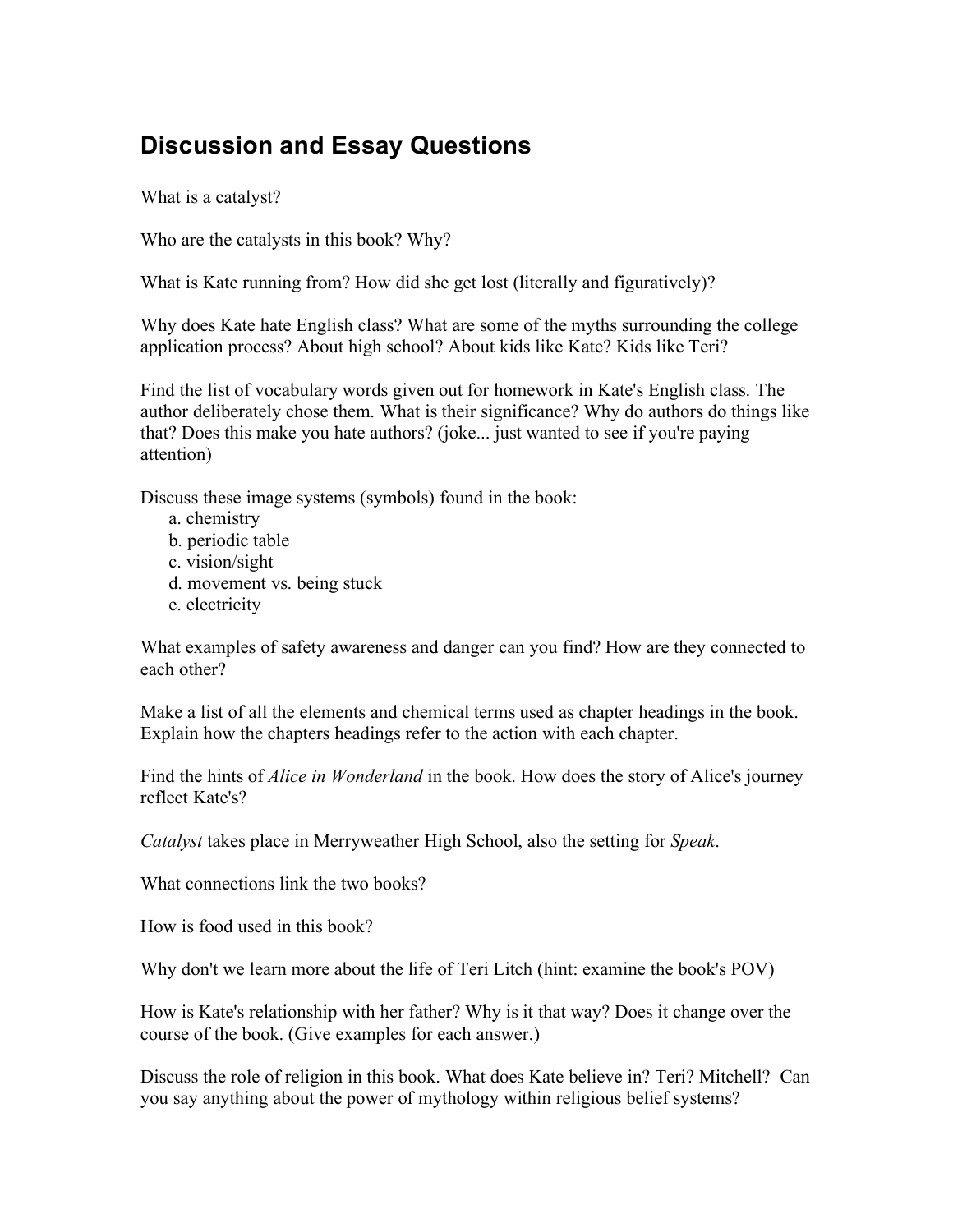## **Discussion and Essay Questions**

What is a catalyst?

Who are the catalysts in this book? Why?

What is Kate running from? How did she get lost (literally and figuratively)?

Why does Kate hate English class? What are some of the myths surrounding the college application process? About high school? About kids like Kate? Kids like Teri?

Find the list of vocabulary words given out for homework in Kate's English class. The author deliberately chose them. What is their significance? Why do authors do things like that? Does this make you hate authors? (joke... just wanted to see if you're paying attention)

Discuss these image systems (symbols) found in the book:

- a. chemistry
- b. periodic table
- c. vision/sight
- d. movement vs. being stuck
- e. electricity

What examples of safety awareness and danger can you find? How are they connected to each other?

Make a list of all the elements and chemical terms used as chapter headings in the book. Explain how the chapters headings refer to the action with each chapter.

Find the hints of *Alice in Wonderland* in the book. How does the story of Alice's journey reflect Kate's?

*Catalyst* takes place in Merryweather High School, also the setting for *Speak*.

What connections link the two books?

How is food used in this book?

Why don't we learn more about the life of Teri Litch (hint: examine the book's POV)

How is Kate's relationship with her father? Why is it that way? Does it change over the course of the book. (Give examples for each answer.)

Discuss the role of religion in this book. What does Kate believe in? Teri? Mitchell? Can you say anything about the power of mythology within religious belief systems?